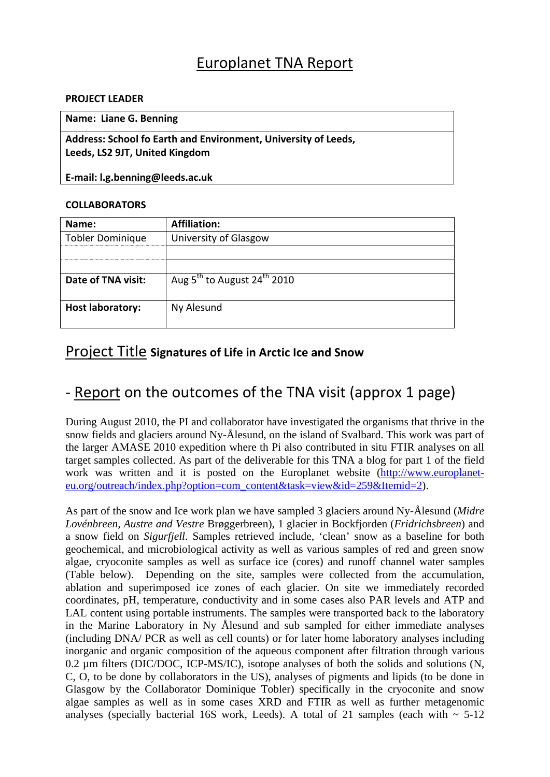## Europlanet TNA Report

#### **PROJECT LEADER**

### **Name: Liane G. Benning**

**Address: School fo Earth and Environment, University of Leeds, Leeds, LS2 9JT, United Kingdom**

**E‐mail: l.g.benning@leeds.ac.uk**

### **COLLABORATORS**

| Name:                   | <b>Affiliation:</b>                                 |  |  |
|-------------------------|-----------------------------------------------------|--|--|
| <b>Tobler Dominique</b> | University of Glasgow                               |  |  |
|                         |                                                     |  |  |
|                         |                                                     |  |  |
| Date of TNA visit:      | Aug 5 <sup>th</sup> to August 24 <sup>th</sup> 2010 |  |  |
|                         |                                                     |  |  |
| <b>Host laboratory:</b> | Ny Alesund                                          |  |  |
|                         |                                                     |  |  |

## Project Title **Signatures of Life in Arctic Ice and Snow**

# ‐ Report on the outcomes of the TNA visit (approx 1 page)

During August 2010, the PI and collaborator have investigated the organisms that thrive in the snow fields and glaciers around Ny-Ålesund, on the island of Svalbard. This work was part of the larger AMASE 2010 expedition where th Pi also contributed in situ FTIR analyses on all target samples collected. As part of the deliverable for this TNA a blog for part 1 of the field work was written and it is posted on the Europlanet website (http://www.europlaneteu.org/outreach/index.php?option=com\_content&task=view&id=259&Itemid=2).

As part of the snow and Ice work plan we have sampled 3 glaciers around Ny-Ålesund (*Midre Lovénbreen, Austre and Vestre* Brøggerbreen), 1 glacier in Bockfjorden (*Fridrichsbreen*) and a snow field on *Sigurfjell*. Samples retrieved include, 'clean' snow as a baseline for both geochemical, and microbiological activity as well as various samples of red and green snow algae, cryoconite samples as well as surface ice (cores) and runoff channel water samples (Table below). Depending on the site, samples were collected from the accumulation, ablation and superimposed ice zones of each glacier. On site we immediately recorded coordinates, pH, temperature, conductivity and in some cases also PAR levels and ATP and LAL content using portable instruments. The samples were transported back to the laboratory in the Marine Laboratory in Ny Ålesund and sub sampled for either immediate analyses (including DNA/ PCR as well as cell counts) or for later home laboratory analyses including inorganic and organic composition of the aqueous component after filtration through various 0.2 µm filters (DIC/DOC, ICP-MS/IC), isotope analyses of both the solids and solutions (N, C, O, to be done by collaborators in the US), analyses of pigments and lipids (to be done in Glasgow by the Collaborator Dominique Tobler) specifically in the cryoconite and snow algae samples as well as in some cases XRD and FTIR as well as further metagenomic analyses (specially bacterial 16S work, Leeds). A total of 21 samples (each with  $\sim$  5-12